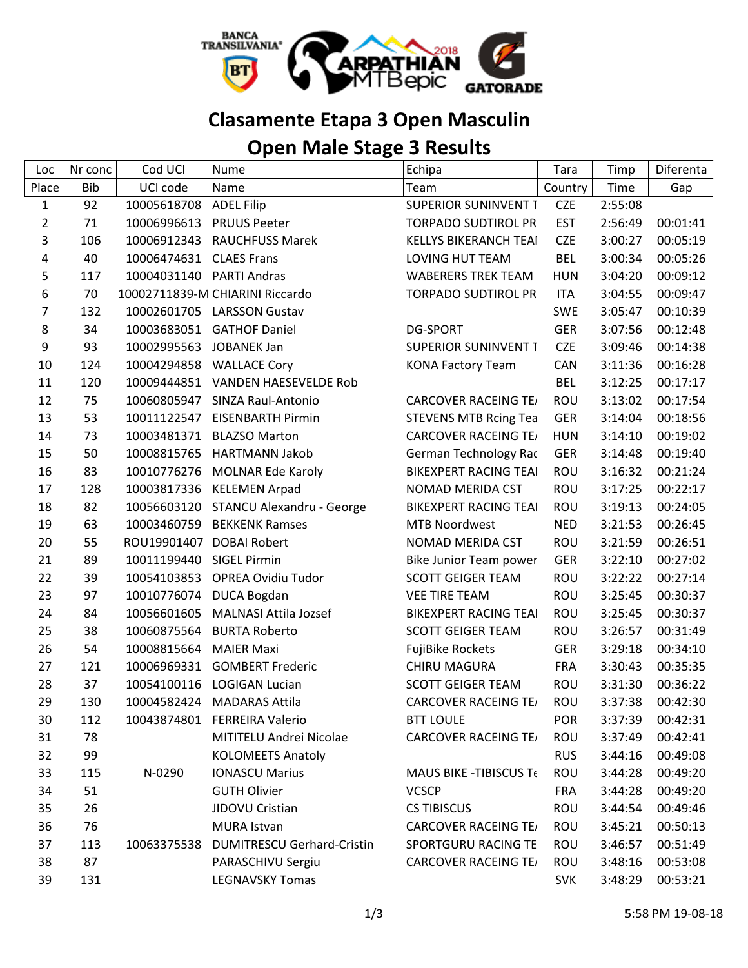

## **Clasamente Etapa 3 Open Masculin**

## **Open Male Stage 3 Results**

| Loc            | Nr conc    | Cod UCI     | Nume                              | Echipa                        | Tara       | Timp    | Diferenta |
|----------------|------------|-------------|-----------------------------------|-------------------------------|------------|---------|-----------|
| Place          | <b>Bib</b> | UCI code    | Name                              | Team                          | Country    | Time    | Gap       |
| $\mathbf{1}$   | 92         | 10005618708 | <b>ADEL Filip</b>                 | <b>SUPERIOR SUNINVENT T</b>   | <b>CZE</b> | 2:55:08 |           |
| $\overline{2}$ | 71         | 10006996613 | <b>PRUUS Peeter</b>               | <b>TORPADO SUDTIROL PR</b>    | <b>EST</b> | 2:56:49 | 00:01:41  |
| 3              | 106        | 10006912343 | <b>RAUCHFUSS Marek</b>            | <b>KELLYS BIKERANCH TEAI</b>  | <b>CZE</b> | 3:00:27 | 00:05:19  |
| 4              | 40         | 10006474631 | <b>CLAES Frans</b>                | LOVING HUT TEAM               | <b>BEL</b> | 3:00:34 | 00:05:26  |
| 5              | 117        | 10004031140 | <b>PARTI Andras</b>               | <b>WABERERS TREK TEAM</b>     | <b>HUN</b> | 3:04:20 | 00:09:12  |
| 6              | 70         |             | 10002711839-M CHIARINI Riccardo   | <b>TORPADO SUDTIROL PR</b>    | <b>ITA</b> | 3:04:55 | 00:09:47  |
| 7              | 132        | 10002601705 | <b>LARSSON Gustav</b>             |                               | <b>SWE</b> | 3:05:47 | 00:10:39  |
| 8              | 34         | 10003683051 | <b>GATHOF Daniel</b>              | <b>DG-SPORT</b>               | <b>GER</b> | 3:07:56 | 00:12:48  |
| 9              | 93         | 10002995563 | <b>JOBANEK Jan</b>                | <b>SUPERIOR SUNINVENT T</b>   | <b>CZE</b> | 3:09:46 | 00:14:38  |
| 10             | 124        | 10004294858 | <b>WALLACE Cory</b>               | <b>KONA Factory Team</b>      | CAN        | 3:11:36 | 00:16:28  |
| 11             | 120        | 10009444851 | VANDEN HAESEVELDE Rob             |                               | <b>BEL</b> | 3:12:25 | 00:17:17  |
| 12             | 75         | 10060805947 | SINZA Raul-Antonio                | <b>CARCOVER RACEING TE/</b>   | ROU        | 3:13:02 | 00:17:54  |
| 13             | 53         | 10011122547 | <b>EISENBARTH Pirmin</b>          | <b>STEVENS MTB Rcing Tea</b>  | <b>GER</b> | 3:14:04 | 00:18:56  |
| 14             | 73         | 10003481371 | <b>BLAZSO Marton</b>              | <b>CARCOVER RACEING TE/</b>   | <b>HUN</b> | 3:14:10 | 00:19:02  |
| 15             | 50         | 10008815765 | <b>HARTMANN Jakob</b>             | <b>German Technology Rac</b>  | GER        | 3:14:48 | 00:19:40  |
| 16             | 83         | 10010776276 | <b>MOLNAR Ede Karoly</b>          | <b>BIKEXPERT RACING TEAI</b>  | ROU        | 3:16:32 | 00:21:24  |
| 17             | 128        | 10003817336 | <b>KELEMEN Arpad</b>              | NOMAD MERIDA CST              | ROU        | 3:17:25 | 00:22:17  |
| 18             | 82         | 10056603120 | STANCU Alexandru - George         | <b>BIKEXPERT RACING TEAI</b>  | ROU        | 3:19:13 | 00:24:05  |
| 19             | 63         | 10003460759 | <b>BEKKENK Ramses</b>             | <b>MTB Noordwest</b>          | <b>NED</b> | 3:21:53 | 00:26:45  |
| 20             | 55         | ROU19901407 | <b>DOBAI Robert</b>               | NOMAD MERIDA CST              | ROU        | 3:21:59 | 00:26:51  |
| 21             | 89         | 10011199440 | <b>SIGEL Pirmin</b>               | <b>Bike Junior Team power</b> | <b>GER</b> | 3:22:10 | 00:27:02  |
| 22             | 39         | 10054103853 | <b>OPREA Ovidiu Tudor</b>         | <b>SCOTT GEIGER TEAM</b>      | <b>ROU</b> | 3:22:22 | 00:27:14  |
| 23             | 97         | 10010776074 | <b>DUCA Bogdan</b>                | <b>VEE TIRE TEAM</b>          | ROU        | 3:25:45 | 00:30:37  |
| 24             | 84         | 10056601605 | <b>MALNASI Attila Jozsef</b>      | <b>BIKEXPERT RACING TEAI</b>  | <b>ROU</b> | 3:25:45 | 00:30:37  |
| 25             | 38         | 10060875564 | <b>BURTA Roberto</b>              | <b>SCOTT GEIGER TEAM</b>      | ROU        | 3:26:57 | 00:31:49  |
| 26             | 54         | 10008815664 | <b>MAIER Maxi</b>                 | <b>FujiBike Rockets</b>       | <b>GER</b> | 3:29:18 | 00:34:10  |
| 27             | 121        | 10006969331 | <b>GOMBERT Frederic</b>           | <b>CHIRU MAGURA</b>           | <b>FRA</b> | 3:30:43 | 00:35:35  |
| 28             | 37         | 10054100116 | <b>LOGIGAN Lucian</b>             | <b>SCOTT GEIGER TEAM</b>      | ROU        | 3:31:30 | 00:36:22  |
| 29             | 130        | 10004582424 | <b>MADARAS Attila</b>             | <b>CARCOVER RACEING TE/</b>   | <b>ROU</b> | 3:37:38 | 00:42:30  |
| 30             | 112        |             | 10043874801 FERREIRA Valerio      | <b>BTT LOULE</b>              | <b>POR</b> | 3:37:39 | 00:42:31  |
| 31             | 78         |             | MITITELU Andrei Nicolae           | <b>CARCOVER RACEING TE/</b>   | ROU        | 3:37:49 | 00:42:41  |
| 32             | 99         |             | <b>KOLOMEETS Anatoly</b>          |                               | <b>RUS</b> | 3:44:16 | 00:49:08  |
| 33             | 115        | N-0290      | <b>IONASCU Marius</b>             | MAUS BIKE - TIBISCUS Te       | <b>ROU</b> | 3:44:28 | 00:49:20  |
| 34             | 51         |             | <b>GUTH Olivier</b>               | <b>VCSCP</b>                  | <b>FRA</b> | 3:44:28 | 00:49:20  |
| 35             | 26         |             | JIDOVU Cristian                   | <b>CS TIBISCUS</b>            | ROU        | 3:44:54 | 00:49:46  |
| 36             | 76         |             | MURA Istvan                       | <b>CARCOVER RACEING TE/</b>   | <b>ROU</b> | 3:45:21 | 00:50:13  |
| 37             | 113        | 10063375538 | <b>DUMITRESCU Gerhard-Cristin</b> | SPORTGURU RACING TE           | ROU        | 3:46:57 | 00:51:49  |
| 38             | 87         |             | PARASCHIVU Sergiu                 | <b>CARCOVER RACEING TE/</b>   | <b>ROU</b> | 3:48:16 | 00:53:08  |
| 39             | 131        |             | <b>LEGNAVSKY Tomas</b>            |                               | <b>SVK</b> | 3:48:29 | 00:53:21  |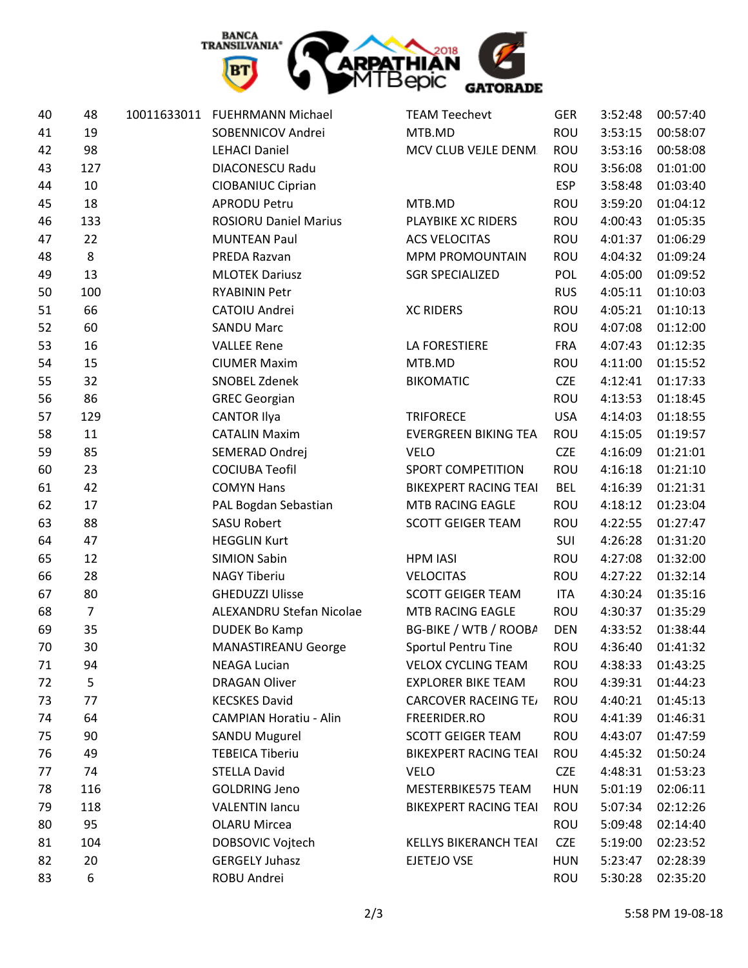

| 40 | 48             | 10011633011 FUEHRMANN Michael | <b>TEAM Teechevt</b>         | <b>GER</b> | 3:52:48 | 00:57:40 |
|----|----------------|-------------------------------|------------------------------|------------|---------|----------|
| 41 | 19             | SOBENNICOV Andrei             | MTB.MD                       | ROU        | 3:53:15 | 00:58:07 |
| 42 | 98             | <b>LEHACI Daniel</b>          | MCV CLUB VEJLE DENM.         | <b>ROU</b> | 3:53:16 | 00:58:08 |
| 43 | 127            | DIACONESCU Radu               |                              | <b>ROU</b> | 3:56:08 | 01:01:00 |
| 44 | 10             | <b>CIOBANIUC Ciprian</b>      |                              | <b>ESP</b> | 3:58:48 | 01:03:40 |
| 45 | 18             | <b>APRODU Petru</b>           | MTB.MD                       | ROU        | 3:59:20 | 01:04:12 |
| 46 | 133            | <b>ROSIORU Daniel Marius</b>  | PLAYBIKE XC RIDERS           | ROU        | 4:00:43 | 01:05:35 |
| 47 | 22             | <b>MUNTEAN Paul</b>           | <b>ACS VELOCITAS</b>         | <b>ROU</b> | 4:01:37 | 01:06:29 |
| 48 | 8              | PREDA Razvan                  | <b>MPM PROMOUNTAIN</b>       | <b>ROU</b> | 4:04:32 | 01:09:24 |
| 49 | 13             | <b>MLOTEK Dariusz</b>         | <b>SGR SPECIALIZED</b>       | POL        | 4:05:00 | 01:09:52 |
| 50 | 100            | <b>RYABININ Petr</b>          |                              | <b>RUS</b> | 4:05:11 | 01:10:03 |
| 51 | 66             | CATOIU Andrei                 | <b>XC RIDERS</b>             | ROU        | 4:05:21 | 01:10:13 |
| 52 | 60             | <b>SANDU Marc</b>             |                              | <b>ROU</b> | 4:07:08 | 01:12:00 |
| 53 | 16             | <b>VALLEE Rene</b>            | <b>LA FORESTIERE</b>         | <b>FRA</b> | 4:07:43 | 01:12:35 |
| 54 | 15             | <b>CIUMER Maxim</b>           | MTB.MD                       | <b>ROU</b> | 4:11:00 | 01:15:52 |
| 55 | 32             | <b>SNOBEL Zdenek</b>          | <b>BIKOMATIC</b>             | <b>CZE</b> | 4:12:41 | 01:17:33 |
| 56 | 86             | <b>GREC Georgian</b>          |                              | ROU        | 4:13:53 | 01:18:45 |
| 57 | 129            | <b>CANTOR Ilya</b>            | <b>TRIFORECE</b>             | <b>USA</b> | 4:14:03 | 01:18:55 |
| 58 | 11             | <b>CATALIN Maxim</b>          | <b>EVERGREEN BIKING TEA</b>  | ROU        | 4:15:05 | 01:19:57 |
| 59 | 85             | SEMERAD Ondrej                | <b>VELO</b>                  | <b>CZE</b> | 4:16:09 | 01:21:01 |
| 60 | 23             | <b>COCIUBA Teofil</b>         | <b>SPORT COMPETITION</b>     | ROU        | 4:16:18 | 01:21:10 |
| 61 | 42             | <b>COMYN Hans</b>             | <b>BIKEXPERT RACING TEAI</b> | <b>BEL</b> | 4:16:39 | 01:21:31 |
| 62 | 17             | PAL Bogdan Sebastian          | MTB RACING EAGLE             | ROU        | 4:18:12 | 01:23:04 |
| 63 | 88             | <b>SASU Robert</b>            | <b>SCOTT GEIGER TEAM</b>     | ROU        | 4:22:55 | 01:27:47 |
| 64 | 47             | <b>HEGGLIN Kurt</b>           |                              | SUI        | 4:26:28 | 01:31:20 |
| 65 | 12             | <b>SIMION Sabin</b>           | <b>HPM IASI</b>              | ROU        | 4:27:08 | 01:32:00 |
| 66 | 28             | <b>NAGY Tiberiu</b>           | <b>VELOCITAS</b>             | <b>ROU</b> | 4:27:22 | 01:32:14 |
| 67 | 80             | <b>GHEDUZZI Ulisse</b>        | <b>SCOTT GEIGER TEAM</b>     | <b>ITA</b> | 4:30:24 | 01:35:16 |
| 68 | $\overline{7}$ | ALEXANDRU Stefan Nicolae      | MTB RACING EAGLE             | <b>ROU</b> | 4:30:37 | 01:35:29 |
| 69 | 35             | <b>DUDEK Bo Kamp</b>          | BG-BIKE / WTB / ROOBA        | <b>DEN</b> | 4:33:52 | 01:38:44 |
| 70 | 30             | MANASTIREANU George           | <b>Sportul Pentru Tine</b>   | ROU        | 4:36:40 | 01:41:32 |
| 71 | 94             | <b>NEAGA Lucian</b>           | <b>VELOX CYCLING TEAM</b>    | ROU        | 4:38:33 | 01:43:25 |
| 72 | 5              | <b>DRAGAN Oliver</b>          | <b>EXPLORER BIKE TEAM</b>    | <b>ROU</b> | 4:39:31 | 01:44:23 |
| 73 | 77             | <b>KECSKES David</b>          | <b>CARCOVER RACEING TE/</b>  | <b>ROU</b> | 4:40:21 | 01:45:13 |
| 74 | 64             | <b>CAMPIAN Horatiu - Alin</b> | FREERIDER.RO                 | ROU        | 4:41:39 | 01:46:31 |
| 75 | 90             | <b>SANDU Mugurel</b>          | <b>SCOTT GEIGER TEAM</b>     | ROU        | 4:43:07 | 01:47:59 |
| 76 | 49             | <b>TEBEICA Tiberiu</b>        | <b>BIKEXPERT RACING TEAI</b> | <b>ROU</b> | 4:45:32 | 01:50:24 |
| 77 | 74             | <b>STELLA David</b>           | <b>VELO</b>                  | <b>CZE</b> | 4:48:31 | 01:53:23 |
| 78 | 116            | <b>GOLDRING Jeno</b>          | MESTERBIKE575 TEAM           | <b>HUN</b> | 5:01:19 | 02:06:11 |
| 79 | 118            | <b>VALENTIN lancu</b>         | <b>BIKEXPERT RACING TEAI</b> | <b>ROU</b> | 5:07:34 | 02:12:26 |
| 80 | 95             | <b>OLARU Mircea</b>           |                              | <b>ROU</b> | 5:09:48 | 02:14:40 |
| 81 | 104            | DOBSOVIC Vojtech              | <b>KELLYS BIKERANCH TEAI</b> | <b>CZE</b> | 5:19:00 | 02:23:52 |
| 82 | 20             | <b>GERGELY Juhasz</b>         | EJETEJO VSE                  | <b>HUN</b> | 5:23:47 | 02:28:39 |
| 83 | 6              | ROBU Andrei                   |                              | <b>ROU</b> | 5:30:28 | 02:35:20 |
|    |                |                               |                              |            |         |          |